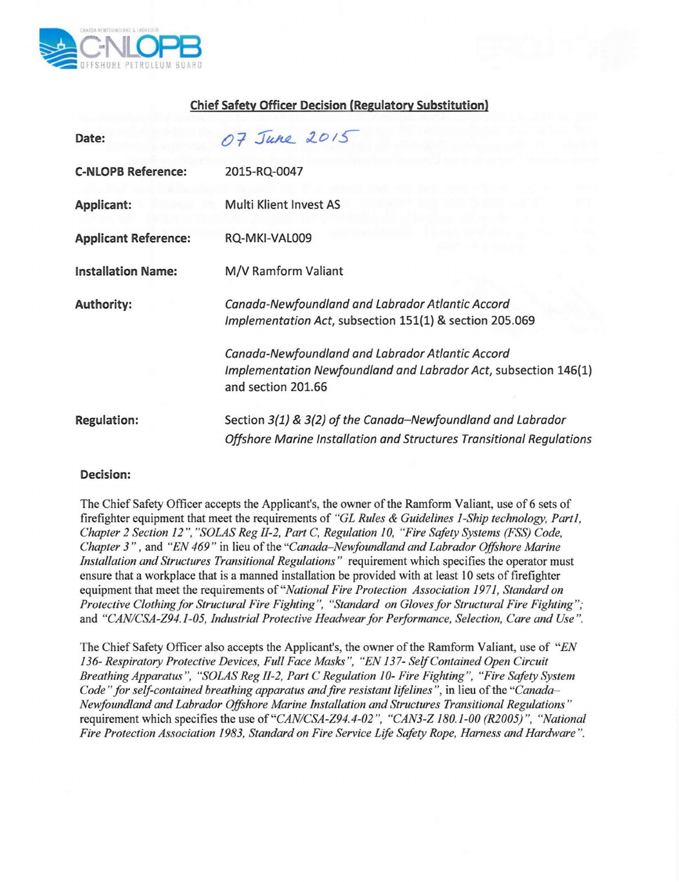

## **Chief Safety Officer Decision (Regulatory Substitution)**

| Date:                       | 07 June 2015                                                                                                                              |
|-----------------------------|-------------------------------------------------------------------------------------------------------------------------------------------|
| <b>C-NLOPB Reference:</b>   | 2015-RQ-0047                                                                                                                              |
| Applicant:                  | Multi Klient Invest AS                                                                                                                    |
| <b>Applicant Reference:</b> | RQ-MKI-VAL009                                                                                                                             |
| <b>Installation Name:</b>   | M/V Ramform Valiant                                                                                                                       |
| <b>Authority:</b>           | Canada-Newfoundland and Labrador Atlantic Accord<br>Implementation Act, subsection 151(1) & section 205.069                               |
|                             | Canada-Newfoundland and Labrador Atlantic Accord<br>Implementation Newfoundland and Labrador Act, subsection 146(1)<br>and section 201.66 |
| <b>Regulation:</b>          | Section 3(1) & 3(2) of the Canada-Newfoundland and Labrador<br>Offshore Marine Installation and Structures Transitional Regulations       |

## **Decision:**

The Chief Safety Officer accepts the Applicant's, the owner of the Ramforrn Valiant, use of 6 sets of firefighter equipment that meet the requirements of *"GL Rules* & *Guidelines I-Ship technology, Part1, Chapter* 2 *Section* 12", *"SaLAS Reg II-2, Part* C, *Regulation 10, "Fire Safety Systems (FSS) Code, Chapter* 3 " , and *"EN* 469" in lieu of the *"Canada-Newfoundland and Labrador Offshore Marine Installation and Structures Transitional Regulations"* requirement which specifies the operator must ensure that a workplace that is a manned installation be provided with at least 10 sets of firefighter equipment that meet the requirements of *"National Fire Protection Association* 1971, *Standard on Protective Clothingfor Structural Fire Fighting", "Standard on Gloves for Structural Fire Fighting";* and *"C"'ANICSA-Z94.1-05, Industrial Protective Headwear for Performance, Selection, Care and Use".*

The Chief Safety Officer also accepts the Applicant's, the owner of the Ramforrn Valiant, use of *"EN 136- Respiratory Protective Devices, Full Face Masks ", "EN* 137- *Self Contained Open Circuit Breathing Apparatus ", "SaLAS Reg II-2, Part* C *Regulation 10- Fire Fighting ". "Fire Safety System Code" for self-contained breathing apparatus and fire resistant lifelines ",* in lieu of the *"Canada-Newfoundland and Labrador Offshore Marine Installation and Structures Transitional Regulations"* requirement which specifies the use of "CAN/CSA-Z94.4-02", "CAN3-Z 180.1-00 (R2005)", "National *Fire Protection Association* 1983, *Standard on Fire Service Life Safety Rope, Harness and Hardware ".*